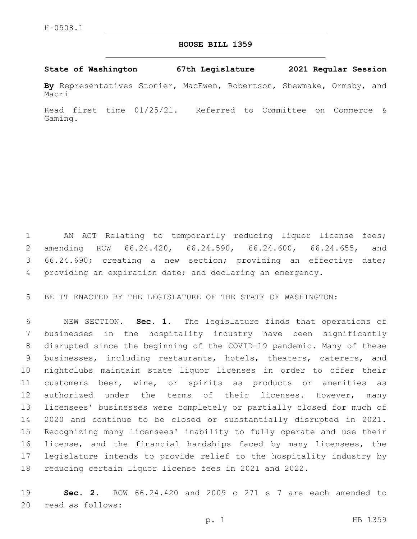## **HOUSE BILL 1359**

## **State of Washington 67th Legislature 2021 Regular Session**

**By** Representatives Stonier, MacEwen, Robertson, Shewmake, Ormsby, and Macri

Read first time 01/25/21. Referred to Committee on Commerce & Gaming.

 AN ACT Relating to temporarily reducing liquor license fees; amending RCW 66.24.420, 66.24.590, 66.24.600, 66.24.655, and 66.24.690; creating a new section; providing an effective date; providing an expiration date; and declaring an emergency.

BE IT ENACTED BY THE LEGISLATURE OF THE STATE OF WASHINGTON:

 NEW SECTION. **Sec. 1.** The legislature finds that operations of businesses in the hospitality industry have been significantly disrupted since the beginning of the COVID-19 pandemic. Many of these businesses, including restaurants, hotels, theaters, caterers, and nightclubs maintain state liquor licenses in order to offer their customers beer, wine, or spirits as products or amenities as 12 authorized under the terms of their licenses. However, many licensees' businesses were completely or partially closed for much of 2020 and continue to be closed or substantially disrupted in 2021. Recognizing many licensees' inability to fully operate and use their license, and the financial hardships faced by many licensees, the legislature intends to provide relief to the hospitality industry by reducing certain liquor license fees in 2021 and 2022.

 **Sec. 2.** RCW 66.24.420 and 2009 c 271 s 7 are each amended to 20 read as follows: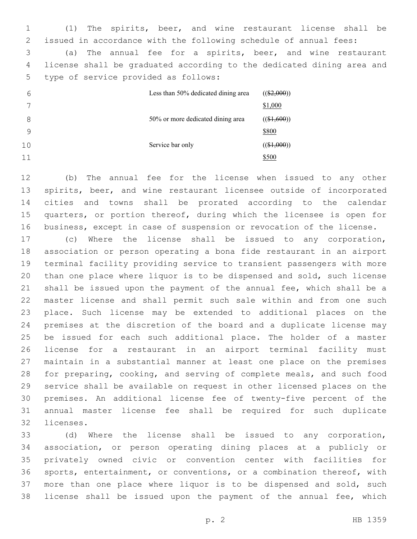(1) The spirits, beer, and wine restaurant license shall be issued in accordance with the following schedule of annual fees: (a) The annual fee for a spirits, beer, and wine restaurant license shall be graduated according to the dedicated dining area and

5 type of service provided as follows:

| 6  | Less than 50% dedicated dining area | $((\$2,000))$ |
|----|-------------------------------------|---------------|
| 7  |                                     | \$1,000       |
| 8  | 50% or more dedicated dining area   | $((\$1,600))$ |
| 9  |                                     | \$800         |
| 10 | Service bar only                    | $((\$1,000))$ |
| 11 |                                     | \$500         |

 (b) The annual fee for the license when issued to any other spirits, beer, and wine restaurant licensee outside of incorporated cities and towns shall be prorated according to the calendar quarters, or portion thereof, during which the licensee is open for business, except in case of suspension or revocation of the license.

 (c) Where the license shall be issued to any corporation, association or person operating a bona fide restaurant in an airport terminal facility providing service to transient passengers with more than one place where liquor is to be dispensed and sold, such license shall be issued upon the payment of the annual fee, which shall be a master license and shall permit such sale within and from one such place. Such license may be extended to additional places on the premises at the discretion of the board and a duplicate license may be issued for each such additional place. The holder of a master license for a restaurant in an airport terminal facility must maintain in a substantial manner at least one place on the premises for preparing, cooking, and serving of complete meals, and such food service shall be available on request in other licensed places on the premises. An additional license fee of twenty-five percent of the annual master license fee shall be required for such duplicate 32 licenses.

 (d) Where the license shall be issued to any corporation, association, or person operating dining places at a publicly or privately owned civic or convention center with facilities for sports, entertainment, or conventions, or a combination thereof, with more than one place where liquor is to be dispensed and sold, such license shall be issued upon the payment of the annual fee, which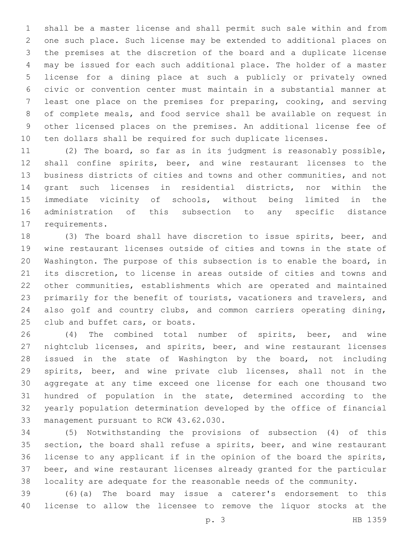shall be a master license and shall permit such sale within and from one such place. Such license may be extended to additional places on the premises at the discretion of the board and a duplicate license may be issued for each such additional place. The holder of a master license for a dining place at such a publicly or privately owned civic or convention center must maintain in a substantial manner at least one place on the premises for preparing, cooking, and serving of complete meals, and food service shall be available on request in other licensed places on the premises. An additional license fee of ten dollars shall be required for such duplicate licenses.

 (2) The board, so far as in its judgment is reasonably possible, shall confine spirits, beer, and wine restaurant licenses to the business districts of cities and towns and other communities, and not grant such licenses in residential districts, nor within the immediate vicinity of schools, without being limited in the administration of this subsection to any specific distance 17 requirements.

 (3) The board shall have discretion to issue spirits, beer, and wine restaurant licenses outside of cities and towns in the state of Washington. The purpose of this subsection is to enable the board, in its discretion, to license in areas outside of cities and towns and other communities, establishments which are operated and maintained primarily for the benefit of tourists, vacationers and travelers, and also golf and country clubs, and common carriers operating dining, 25 club and buffet cars, or boats.

 (4) The combined total number of spirits, beer, and wine nightclub licenses, and spirits, beer, and wine restaurant licenses issued in the state of Washington by the board, not including spirits, beer, and wine private club licenses, shall not in the aggregate at any time exceed one license for each one thousand two hundred of population in the state, determined according to the yearly population determination developed by the office of financial 33 management pursuant to RCW 43.62.030.

 (5) Notwithstanding the provisions of subsection (4) of this section, the board shall refuse a spirits, beer, and wine restaurant license to any applicant if in the opinion of the board the spirits, beer, and wine restaurant licenses already granted for the particular locality are adequate for the reasonable needs of the community.

 (6)(a) The board may issue a caterer's endorsement to this license to allow the licensee to remove the liquor stocks at the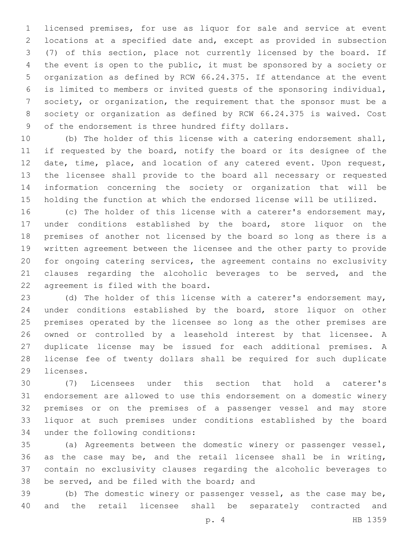licensed premises, for use as liquor for sale and service at event locations at a specified date and, except as provided in subsection (7) of this section, place not currently licensed by the board. If the event is open to the public, it must be sponsored by a society or organization as defined by RCW 66.24.375. If attendance at the event is limited to members or invited guests of the sponsoring individual, society, or organization, the requirement that the sponsor must be a society or organization as defined by RCW 66.24.375 is waived. Cost 9 of the endorsement is three hundred fifty dollars.

 (b) The holder of this license with a catering endorsement shall, 11 if requested by the board, notify the board or its designee of the date, time, place, and location of any catered event. Upon request, the licensee shall provide to the board all necessary or requested information concerning the society or organization that will be holding the function at which the endorsed license will be utilized.

 (c) The holder of this license with a caterer's endorsement may, under conditions established by the board, store liquor on the premises of another not licensed by the board so long as there is a written agreement between the licensee and the other party to provide for ongoing catering services, the agreement contains no exclusivity clauses regarding the alcoholic beverages to be served, and the 22 agreement is filed with the board.

 (d) The holder of this license with a caterer's endorsement may, under conditions established by the board, store liquor on other premises operated by the licensee so long as the other premises are owned or controlled by a leasehold interest by that licensee. A duplicate license may be issued for each additional premises. A license fee of twenty dollars shall be required for such duplicate 29 licenses.

 (7) Licensees under this section that hold a caterer's endorsement are allowed to use this endorsement on a domestic winery premises or on the premises of a passenger vessel and may store liquor at such premises under conditions established by the board 34 under the following conditions:

 (a) Agreements between the domestic winery or passenger vessel, as the case may be, and the retail licensee shall be in writing, contain no exclusivity clauses regarding the alcoholic beverages to 38 be served, and be filed with the board; and

 (b) The domestic winery or passenger vessel, as the case may be, and the retail licensee shall be separately contracted and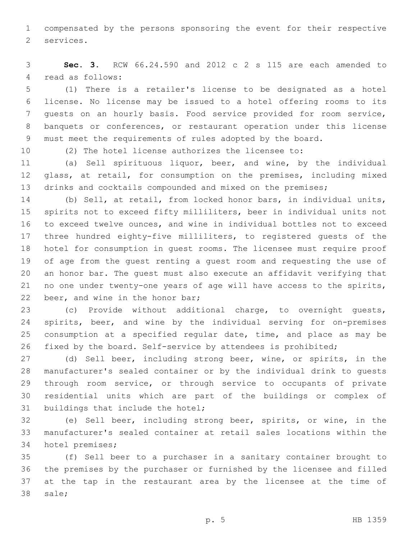compensated by the persons sponsoring the event for their respective 2 services.

 **Sec. 3.** RCW 66.24.590 and 2012 c 2 s 115 are each amended to 4 read as follows:

 (1) There is a retailer's license to be designated as a hotel license. No license may be issued to a hotel offering rooms to its guests on an hourly basis. Food service provided for room service, banquets or conferences, or restaurant operation under this license must meet the requirements of rules adopted by the board.

(2) The hotel license authorizes the licensee to:

 (a) Sell spirituous liquor, beer, and wine, by the individual glass, at retail, for consumption on the premises, including mixed 13 drinks and cocktails compounded and mixed on the premises;

 (b) Sell, at retail, from locked honor bars, in individual units, spirits not to exceed fifty milliliters, beer in individual units not to exceed twelve ounces, and wine in individual bottles not to exceed three hundred eighty-five milliliters, to registered guests of the hotel for consumption in guest rooms. The licensee must require proof of age from the guest renting a guest room and requesting the use of an honor bar. The guest must also execute an affidavit verifying that no one under twenty-one years of age will have access to the spirits, 22 beer, and wine in the honor bar;

 (c) Provide without additional charge, to overnight guests, spirits, beer, and wine by the individual serving for on-premises consumption at a specified regular date, time, and place as may be fixed by the board. Self-service by attendees is prohibited;

 (d) Sell beer, including strong beer, wine, or spirits, in the manufacturer's sealed container or by the individual drink to guests through room service, or through service to occupants of private residential units which are part of the buildings or complex of 31 buildings that include the hotel;

 (e) Sell beer, including strong beer, spirits, or wine, in the manufacturer's sealed container at retail sales locations within the 34 hotel premises;

 (f) Sell beer to a purchaser in a sanitary container brought to the premises by the purchaser or furnished by the licensee and filled at the tap in the restaurant area by the licensee at the time of 38 sale;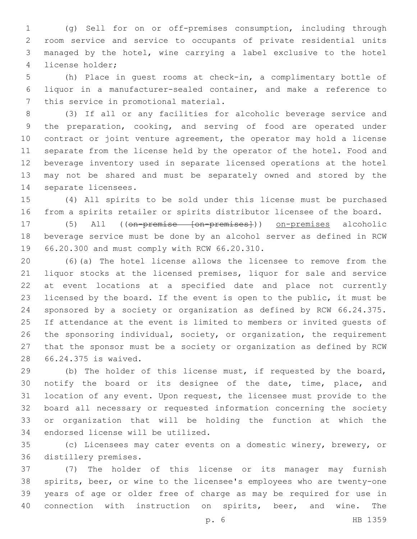(g) Sell for on or off-premises consumption, including through room service and service to occupants of private residential units managed by the hotel, wine carrying a label exclusive to the hotel 4 license holder;

 (h) Place in guest rooms at check-in, a complimentary bottle of liquor in a manufacturer-sealed container, and make a reference to 7 this service in promotional material.

 (3) If all or any facilities for alcoholic beverage service and the preparation, cooking, and serving of food are operated under contract or joint venture agreement, the operator may hold a license separate from the license held by the operator of the hotel. Food and beverage inventory used in separate licensed operations at the hotel may not be shared and must be separately owned and stored by the 14 separate licensees.

 (4) All spirits to be sold under this license must be purchased from a spirits retailer or spirits distributor licensee of the board.

17 (5) All ((on-premise [on-premises])) on-premises alcoholic beverage service must be done by an alcohol server as defined in RCW 19 66.20.300 and must comply with RCW 66.20.310.

 (6)(a) The hotel license allows the licensee to remove from the liquor stocks at the licensed premises, liquor for sale and service at event locations at a specified date and place not currently licensed by the board. If the event is open to the public, it must be sponsored by a society or organization as defined by RCW 66.24.375. If attendance at the event is limited to members or invited guests of the sponsoring individual, society, or organization, the requirement that the sponsor must be a society or organization as defined by RCW 66.24.375 is waived.28

 (b) The holder of this license must, if requested by the board, 30 notify the board or its designee of the date, time, place, and location of any event. Upon request, the licensee must provide to the board all necessary or requested information concerning the society or organization that will be holding the function at which the 34 endorsed license will be utilized.

 (c) Licensees may cater events on a domestic winery, brewery, or 36 distillery premises.

 (7) The holder of this license or its manager may furnish spirits, beer, or wine to the licensee's employees who are twenty-one years of age or older free of charge as may be required for use in connection with instruction on spirits, beer, and wine. The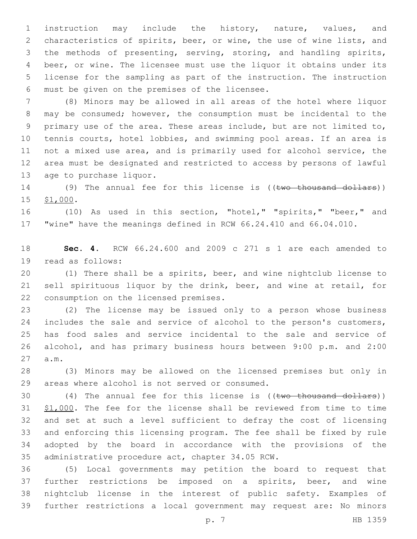instruction may include the history, nature, values, and characteristics of spirits, beer, or wine, the use of wine lists, and the methods of presenting, serving, storing, and handling spirits, beer, or wine. The licensee must use the liquor it obtains under its license for the sampling as part of the instruction. The instruction 6 must be given on the premises of the licensee.

 (8) Minors may be allowed in all areas of the hotel where liquor may be consumed; however, the consumption must be incidental to the primary use of the area. These areas include, but are not limited to, 10 tennis courts, hotel lobbies, and swimming pool areas. If an area is not a mixed use area, and is primarily used for alcohol service, the area must be designated and restricted to access by persons of lawful 13 age to purchase liquor.

14 (9) The annual fee for this license is ((two thousand dollars)) 15 \$1,000.

 (10) As used in this section, "hotel," "spirits," "beer," and "wine" have the meanings defined in RCW 66.24.410 and 66.04.010.

 **Sec. 4.** RCW 66.24.600 and 2009 c 271 s 1 are each amended to 19 read as follows:

 (1) There shall be a spirits, beer, and wine nightclub license to sell spirituous liquor by the drink, beer, and wine at retail, for 22 consumption on the licensed premises.

 (2) The license may be issued only to a person whose business 24 includes the sale and service of alcohol to the person's customers, has food sales and service incidental to the sale and service of alcohol, and has primary business hours between 9:00 p.m. and 2:00 a.m.27

 (3) Minors may be allowed on the licensed premises but only in 29 areas where alcohol is not served or consumed.

 $(4)$  The annual fee for this license is  $((\text{two thousand dollars}))$ 31 \$1,000. The fee for the license shall be reviewed from time to time and set at such a level sufficient to defray the cost of licensing and enforcing this licensing program. The fee shall be fixed by rule adopted by the board in accordance with the provisions of the 35 administrative procedure act, chapter 34.05 RCW.

 (5) Local governments may petition the board to request that further restrictions be imposed on a spirits, beer, and wine nightclub license in the interest of public safety. Examples of further restrictions a local government may request are: No minors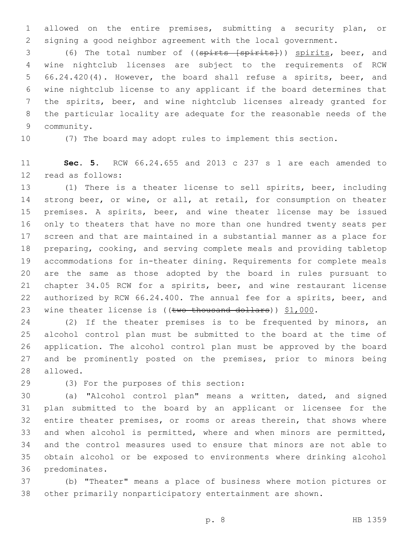allowed on the entire premises, submitting a security plan, or signing a good neighbor agreement with the local government.

 (6) The total number of ((spirts [spirits])) spirits, beer, and wine nightclub licenses are subject to the requirements of RCW 66.24.420(4). However, the board shall refuse a spirits, beer, and wine nightclub license to any applicant if the board determines that the spirits, beer, and wine nightclub licenses already granted for the particular locality are adequate for the reasonable needs of the 9 community.

(7) The board may adopt rules to implement this section.

 **Sec. 5.** RCW 66.24.655 and 2013 c 237 s 1 are each amended to 12 read as follows:

 (1) There is a theater license to sell spirits, beer, including 14 strong beer, or wine, or all, at retail, for consumption on theater 15 premises. A spirits, beer, and wine theater license may be issued only to theaters that have no more than one hundred twenty seats per screen and that are maintained in a substantial manner as a place for preparing, cooking, and serving complete meals and providing tabletop accommodations for in-theater dining. Requirements for complete meals are the same as those adopted by the board in rules pursuant to chapter 34.05 RCW for a spirits, beer, and wine restaurant license authorized by RCW 66.24.400. The annual fee for a spirits, beer, and 23 wine theater license is  $((\text{two thousand dollars}))$  \$1,000.

 (2) If the theater premises is to be frequented by minors, an alcohol control plan must be submitted to the board at the time of application. The alcohol control plan must be approved by the board and be prominently posted on the premises, prior to minors being 28 allowed.

(3) For the purposes of this section:29

 (a) "Alcohol control plan" means a written, dated, and signed plan submitted to the board by an applicant or licensee for the 32 entire theater premises, or rooms or areas therein, that shows where and when alcohol is permitted, where and when minors are permitted, and the control measures used to ensure that minors are not able to obtain alcohol or be exposed to environments where drinking alcohol 36 predominates.

 (b) "Theater" means a place of business where motion pictures or other primarily nonparticipatory entertainment are shown.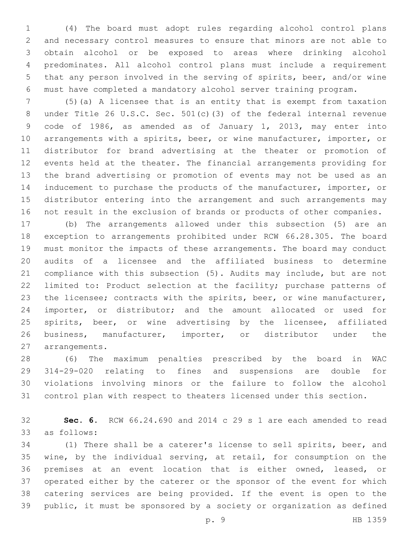(4) The board must adopt rules regarding alcohol control plans and necessary control measures to ensure that minors are not able to obtain alcohol or be exposed to areas where drinking alcohol predominates. All alcohol control plans must include a requirement that any person involved in the serving of spirits, beer, and/or wine must have completed a mandatory alcohol server training program.

 (5)(a) A licensee that is an entity that is exempt from taxation under Title 26 U.S.C. Sec. 501(c)(3) of the federal internal revenue code of 1986, as amended as of January 1, 2013, may enter into arrangements with a spirits, beer, or wine manufacturer, importer, or distributor for brand advertising at the theater or promotion of events held at the theater. The financial arrangements providing for the brand advertising or promotion of events may not be used as an inducement to purchase the products of the manufacturer, importer, or distributor entering into the arrangement and such arrangements may not result in the exclusion of brands or products of other companies.

 (b) The arrangements allowed under this subsection (5) are an exception to arrangements prohibited under RCW 66.28.305. The board must monitor the impacts of these arrangements. The board may conduct audits of a licensee and the affiliated business to determine compliance with this subsection (5). Audits may include, but are not limited to: Product selection at the facility; purchase patterns of the licensee; contracts with the spirits, beer, or wine manufacturer, importer, or distributor; and the amount allocated or used for spirits, beer, or wine advertising by the licensee, affiliated business, manufacturer, importer, or distributor under the 27 arrangements.

 (6) The maximum penalties prescribed by the board in WAC 314-29-020 relating to fines and suspensions are double for violations involving minors or the failure to follow the alcohol control plan with respect to theaters licensed under this section.

 **Sec. 6.** RCW 66.24.690 and 2014 c 29 s 1 are each amended to read 33 as follows:

 (1) There shall be a caterer's license to sell spirits, beer, and wine, by the individual serving, at retail, for consumption on the premises at an event location that is either owned, leased, or operated either by the caterer or the sponsor of the event for which catering services are being provided. If the event is open to the public, it must be sponsored by a society or organization as defined